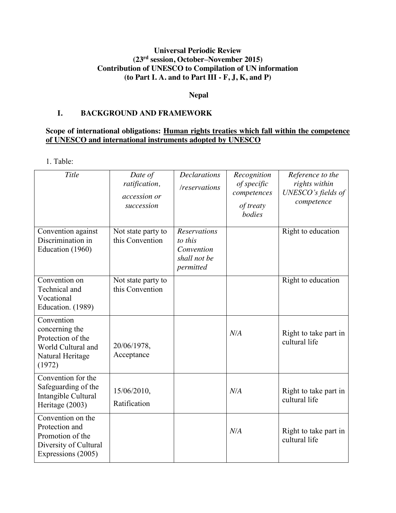### **Universal Periodic Review (23rd session, October–November 2015) Contribution of UNESCO to Compilation of UN information (to Part I. A. and to Part III - F, J, K, and P)**

### **Nepal**

#### **I. BACKGROUND AND FRAMEWORK**

#### **Scope of international obligations: Human rights treaties which fall within the competence of UNESCO and international instruments adopted by UNESCO**

1. Table:

| <b>Title</b>                                                                                           | Date of<br>ratification,<br>accession or<br>succession | <b>Declarations</b><br>/reservations                                      | Recognition<br>of specific<br>competences<br>of treaty<br>bodies | Reference to the<br>rights within<br>UNESCO's fields of<br>competence |
|--------------------------------------------------------------------------------------------------------|--------------------------------------------------------|---------------------------------------------------------------------------|------------------------------------------------------------------|-----------------------------------------------------------------------|
| Convention against<br>Discrimination in<br>Education (1960)                                            | Not state party to<br>this Convention                  | <b>Reservations</b><br>to this<br>Convention<br>shall not be<br>permitted |                                                                  | Right to education                                                    |
| Convention on<br>Technical and<br>Vocational<br>Education. (1989)                                      | Not state party to<br>this Convention                  |                                                                           |                                                                  | Right to education                                                    |
| Convention<br>concerning the<br>Protection of the<br>World Cultural and<br>Natural Heritage<br>(1972)  | 20/06/1978,<br>Acceptance                              |                                                                           | N/A                                                              | Right to take part in<br>cultural life                                |
| Convention for the<br>Safeguarding of the<br>Intangible Cultural<br>Heritage (2003)                    | 15/06/2010,<br>Ratification                            |                                                                           | N/A                                                              | Right to take part in<br>cultural life                                |
| Convention on the<br>Protection and<br>Promotion of the<br>Diversity of Cultural<br>Expressions (2005) |                                                        |                                                                           | N/A                                                              | Right to take part in<br>cultural life                                |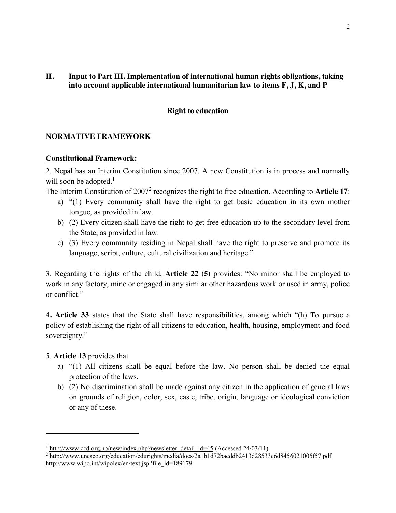## **II. Input to Part III. Implementation of international human rights obligations, taking into account applicable international humanitarian law to items F, J, K, and P**

#### **Right to education**

### **NORMATIVE FRAMEWORK**

#### **Constitutional Framework:**

2. Nepal has an Interim Constitution since 2007. A new Constitution is in process and normally will soon be adopted. $<sup>1</sup>$ </sup>

The Interim Constitution of 2007<sup>2</sup> recognizes the right to free education. According to **Article 17**:

- a) "(1) Every community shall have the right to get basic education in its own mother tongue, as provided in law.
- b) (2) Every citizen shall have the right to get free education up to the secondary level from the State, as provided in law.
- c) (3) Every community residing in Nepal shall have the right to preserve and promote its language, script, culture, cultural civilization and heritage."

3. Regarding the rights of the child, **Article 22 (5)** provides: "No minor shall be employed to work in any factory, mine or engaged in any similar other hazardous work or used in army, police or conflict."

4**. Article 33** states that the State shall have responsibilities, among which "(h) To pursue a policy of establishing the right of all citizens to education, health, housing, employment and food sovereignty."

### 5. **Article 13** provides that

- a) "(1) All citizens shall be equal before the law. No person shall be denied the equal protection of the laws.
- b) (2) No discrimination shall be made against any citizen in the application of general laws on grounds of religion, color, sex, caste, tribe, origin, language or ideological conviction or any of these.

<sup>&</sup>lt;sup>1</sup> http://www.ccd.org.np/new/index.php?newsletter\_detail\_id=45 (Accessed 24/03/11)

<sup>2</sup> http://www.unesco.org/education/edurights/media/docs/2a1b1d72baeddb2413d28533e6d8456021005f57.pdf http://www.wipo.int/wipolex/en/text.jsp?file\_id=189179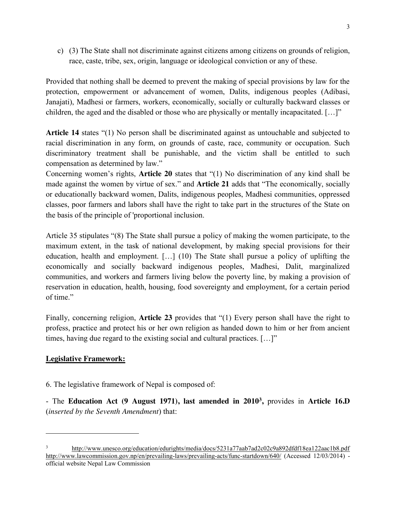c) (3) The State shall not discriminate against citizens among citizens on grounds of religion, race, caste, tribe, sex, origin, language or ideological conviction or any of these.

Provided that nothing shall be deemed to prevent the making of special provisions by law for the protection, empowerment or advancement of women, Dalits, indigenous peoples (Adibasi, Janajati), Madhesi or farmers, workers, economically, socially or culturally backward classes or children, the aged and the disabled or those who are physically or mentally incapacitated. […]"

**Article 14** states "(1) No person shall be discriminated against as untouchable and subjected to racial discrimination in any form, on grounds of caste, race, community or occupation. Such discriminatory treatment shall be punishable, and the victim shall be entitled to such compensation as determined by law."

Concerning women's rights, **Article 20** states that "(1) No discrimination of any kind shall be made against the women by virtue of sex." and **Article 21** adds that "The economically, socially or educationally backward women, Dalits, indigenous peoples, Madhesi communities, oppressed classes, poor farmers and labors shall have the right to take part in the structures of the State on the basis of the principle of 'proportional inclusion.

Article 35 stipulates "(8) The State shall pursue a policy of making the women participate, to the maximum extent, in the task of national development, by making special provisions for their education, health and employment. […] (10) The State shall pursue a policy of uplifting the economically and socially backward indigenous peoples, Madhesi, Dalit, marginalized communities, and workers and farmers living below the poverty line, by making a provision of reservation in education, health, housing, food sovereignty and employment, for a certain period of time."

Finally, concerning religion, **Article 23** provides that "(1) Every person shall have the right to profess, practice and protect his or her own religion as handed down to him or her from ancient times, having due regard to the existing social and cultural practices. […]"

### **Legislative Framework:**

 $\overline{\phantom{a}}$ 

6. The legislative framework of Nepal is composed of:

- The **Education Act (9 August 1971), last amended in 20103,** provides in **Article 16.D** (*inserted by the Seventh Amendment*) that:

http://www.unesco.org/education/edurights/media/docs/5231a77aab7ad2c02c9a892dfdf18ea122aac1b8.pdf http://www.lawcommission.gov.np/en/prevailing-laws/prevailing-acts/func-startdown/640/ (Accessed 12/03/2014) official website Nepal Law Commission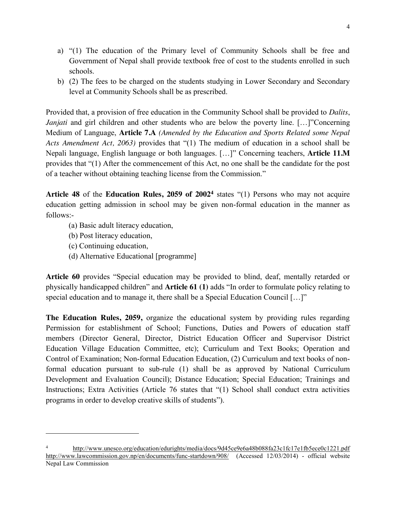- a) "(1) The education of the Primary level of Community Schools shall be free and Government of Nepal shall provide textbook free of cost to the students enrolled in such schools.
- b) (2) The fees to be charged on the students studying in Lower Secondary and Secondary level at Community Schools shall be as prescribed.

Provided that, a provision of free education in the Community School shall be provided to *Dalits*, *Janjati* and girl children and other students who are below the poverty line. [...]"Concerning Medium of Language, **Article 7.A** *(Amended by the Education and Sports Related some Nepal Acts Amendment Act, 2063)* provides that "(1) The medium of education in a school shall be Nepali language, English language or both languages. […]" Concerning teachers, **Article 11.M** provides that "(1) After the commencement of this Act, no one shall be the candidate for the post of a teacher without obtaining teaching license from the Commission."

**Article 48** of the **Education Rules, 2059 of 20024** states "(1) Persons who may not acquire education getting admission in school may be given non-formal education in the manner as follows:-

- (a) Basic adult literacy education,
- (b) Post literacy education,
- (c) Continuing education,

 $\overline{\phantom{a}}$ 

(d) Alternative Educational [programme]

**Article 60** provides "Special education may be provided to blind, deaf, mentally retarded or physically handicapped children" and **Article 61 (1)** adds "In order to formulate policy relating to special education and to manage it, there shall be a Special Education Council […]"

**The Education Rules, 2059,** organize the educational system by providing rules regarding Permission for establishment of School; Functions, Duties and Powers of education staff members (Director General, Director, District Education Officer and Supervisor District Education Village Education Committee, etc); Curriculum and Text Books; Operation and Control of Examination; Non-formal Education Education, (2) Curriculum and text books of nonformal education pursuant to sub-rule (1) shall be as approved by National Curriculum Development and Evaluation Council); Distance Education; Special Education; Trainings and Instructions; Extra Activities (Article 76 states that "(1) School shall conduct extra activities programs in order to develop creative skills of students").

<sup>4</sup> http://www.unesco.org/education/edurights/media/docs/9d45ce9e6a48b088fa23c1fc17e1fb5ece0c1221.pdf http://www.lawcommission.gov.np/en/documents/func-startdown/908/ (Accessed 12/03/2014) - official website Nepal Law Commission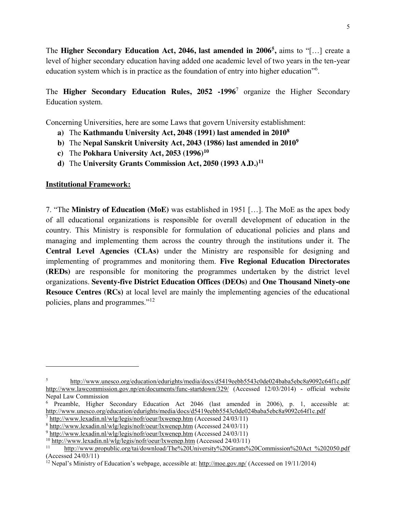The **Higher Secondary Education Act, 2046, last amended in 20065,** aims to "[…] create a level of higher secondary education having added one academic level of two years in the ten-year education system which is in practice as the foundation of entry into higher education"<sup>6</sup>.

The **Higher Secondary Education Rules, 2052 -1996**<sup>7</sup> organize the Higher Secondary Education system.

Concerning Universities, here are some Laws that govern University establishment:

- **a)** The **Kathmandu University Act, 2048 (1991) last amended in 20108**
- **b)** The **Nepal Sanskrit University Act, 2043 (1986) last amended in 20109**
- **c)** The **Pokhara University Act, 2053 (1996)10**
- **d**) The University Grants Commission Act, 2050 (1993 A.D.)<sup>11</sup>

#### **Institutional Framework:**

l

7. "The **Ministry of Education (MoE)** was established in 1951 […]. The MoE as the apex body of all educational organizations is responsible for overall development of education in the country. This Ministry is responsible for formulation of educational policies and plans and managing and implementing them across the country through the institutions under it. The **Central Level Agencies (CLAs)** under the Ministry are responsible for designing and implementing of programmes and monitoring them. **Five Regional Education Directorates (REDs)** are responsible for monitoring the programmes undertaken by the district level organizations. **Seventy-five District Education Offices (DEOs)** and **One Thousand Ninety-one Resouce Centres (RCs)** at local level are mainly the implementing agencies of the educational policies, plans and programmes."<sup>12</sup>

<sup>5</sup> http://www.unesco.org/education/edurights/media/docs/d5419eebb5543c0de024baba5ebc8a9092c64f1c.pdf http://www.lawcommission.gov.np/en/documents/func-startdown/329/ (Accessed 12/03/2014) - official website Nepal Law Commission

<sup>6</sup> Preamble, Higher Secondary Education Act 2046 (last amended in 2006), p. 1, accessible at: http://www.unesco.org/education/edurights/media/docs/d5419eebb5543c0de024baba5ebc8a9092c64f1c.pdf

 $\frac{7 \text{ http://www.lexadin.nl/wlg/legis/nofr/oeur/lxwenep.htm}}{8 \text{ http://www.lexadin.nl/wlg/legis/nofr/oeur/lxwenep.htm}}$  (Accessed 24/03/11)

<sup>&</sup>lt;sup>9</sup> http://www.lexadin.nl/wlg/legis/nofr/oeur/lxwenep.htm (Accessed 24/03/11)<br><sup>10</sup> http://www.lexadin.nl/wlg/legis/nofr/oeur/lxwenep.htm (Accessed 24/03/11)<br><sup>11</sup> http://www.propublic.org/tai/download/The%20University%20Gra (Accessed 24/03/11)

<sup>12</sup> Nepal's Ministry of Education's webpage, accessible at: http://moe.gov.np/ (Accessed on 19/11/2014)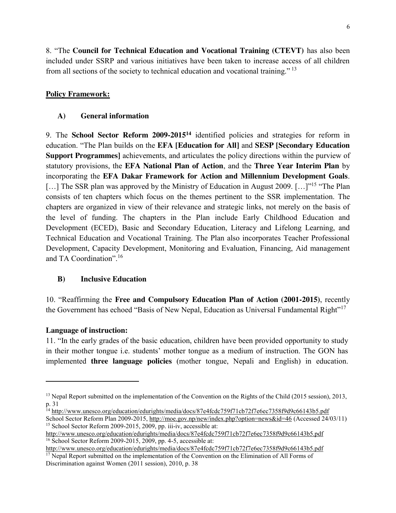8. "The **Council for Technical Education and Vocational Training (CTEVT)** has also been included under SSRP and various initiatives have been taken to increase access of all children from all sections of the society to technical education and vocational training." <sup>13</sup>

### **Policy Framework:**

### **A) General information**

9. The **School Sector Reform 2009-201514** identified policies and strategies for reform in education. "The Plan builds on the **EFA [Education for All]** and **SESP [Secondary Education Support Programmes]** achievements, and articulates the policy directions within the purview of statutory provisions, the **EFA National Plan of Action**, and the **Three Year Interim Plan** by incorporating the **EFA Dakar Framework for Action and Millennium Development Goals**. [...] The SSR plan was approved by the Ministry of Education in August 2009. [...]<sup>"15</sup> "The Plan" consists of ten chapters which focus on the themes pertinent to the SSR implementation. The chapters are organized in view of their relevance and strategic links, not merely on the basis of the level of funding. The chapters in the Plan include Early Childhood Education and Development (ECED), Basic and Secondary Education, Literacy and Lifelong Learning, and Technical Education and Vocational Training. The Plan also incorporates Teacher Professional Development, Capacity Development, Monitoring and Evaluation, Financing, Aid management and TA Coordination"<sup>16</sup>

### **B) Inclusive Education**

10. "Reaffirming the **Free and Compulsory Education Plan of Action (2001-2015)**, recently the Government has echoed "Basis of New Nepal, Education as Universal Fundamental Right"<sup>17</sup>

### **Language of instruction:**

 $\overline{\phantom{a}}$ 

11. "In the early grades of the basic education, children have been provided opportunity to study in their mother tongue i.e. students' mother tongue as a medium of instruction. The GON has implemented **three language policies** (mother tongue, Nepali and English) in education.

<sup>&</sup>lt;sup>13</sup> Nepal Report submitted on the implementation of the Convention on the Rights of the Child (2015 session), 2013, p. 31

<sup>14</sup> http://www.unesco.org/education/edurights/media/docs/87e4fcdc759f71cb72f7e6ec7358f9d9c66143b5.pdf

School Sector Reform Plan 2009-2015, http://moe.gov.np/new/index.php?option=news&id=46 (Accessed 24/03/11)<sup>15</sup> School Sector Reform 2009-2015, 2009, pp. iii-iv, accessible at:

http://www.unesco.org/education/edurights/media/docs/87e4fcdc759f71cb72f7e6ec7358f9d9c66143b5.pdf <sup>16</sup> School Sector Reform 2009-2015, 2009, pp. 4-5, accessible at:

http://www.unesco.org/education/edurights/media/docs/87e4fcdc759f71cb72f7e6ec7358f9d9c66143b5.pdf <sup>17</sup> Nepal Report submitted on the implementation of the Convention on the Elimination of All Forms of Discrimination against Women (2011 session), 2010, p. 38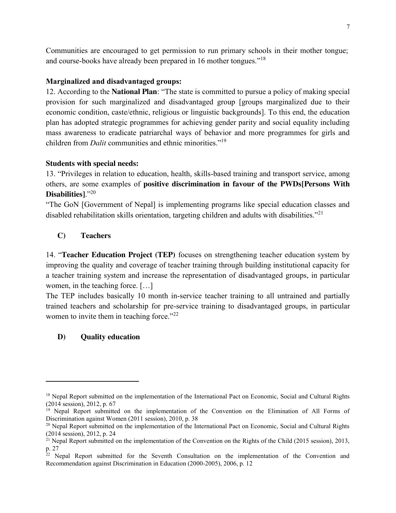Communities are encouraged to get permission to run primary schools in their mother tongue; and course-books have already been prepared in 16 mother tongues."<sup>18</sup>

### **Marginalized and disadvantaged groups:**

12. According to the **National Plan**: "The state is committed to pursue a policy of making special provision for such marginalized and disadvantaged group [groups marginalized due to their economic condition, caste/ethnic, religious or linguistic backgrounds]. To this end, the education plan has adopted strategic programmes for achieving gender parity and social equality including mass awareness to eradicate patriarchal ways of behavior and more programmes for girls and children from *Dalit* communities and ethnic minorities."<sup>19</sup>

### **Students with special needs:**

13. "Privileges in relation to education, health, skills-based training and transport service, among others, are some examples of **positive discrimination in favour of the PWDs[Persons With Disabilities]**."<sup>20</sup>

"The GoN [Government of Nepal] is implementing programs like special education classes and disabled rehabilitation skills orientation, targeting children and adults with disabilities."<sup>21</sup>

# **C) Teachers**

14. "**Teacher Education Project (TEP)** focuses on strengthening teacher education system by improving the quality and coverage of teacher training through building institutional capacity for a teacher training system and increase the representation of disadvantaged groups, in particular women, in the teaching force. […]

The TEP includes basically 10 month in-service teacher training to all untrained and partially trained teachers and scholarship for pre-service training to disadvantaged groups, in particular women to invite them in teaching force."<sup>22</sup>

# **D) Quality education**

<sup>&</sup>lt;sup>18</sup> Nepal Report submitted on the implementation of the International Pact on Economic, Social and Cultural Rights (2014 session), 2012, p. 67

<sup>&</sup>lt;sup>19</sup> Nepal Report submitted on the implementation of the Convention on the Elimination of All Forms of Discrimination against Women (2011 session), 2010, p. 38

<sup>&</sup>lt;sup>20</sup> Nepal Report submitted on the implementation of the International Pact on Economic, Social and Cultural Rights (2014 session), 2012, p. 24

 $^{21}$  Nepal Report submitted on the implementation of the Convention on the Rights of the Child (2015 session), 2013, p. 27

<sup>&</sup>lt;sup>22</sup> Nepal Report submitted for the Seventh Consultation on the implementation of the Convention and Recommendation against Discrimination in Education (2000-2005), 2006, p. 12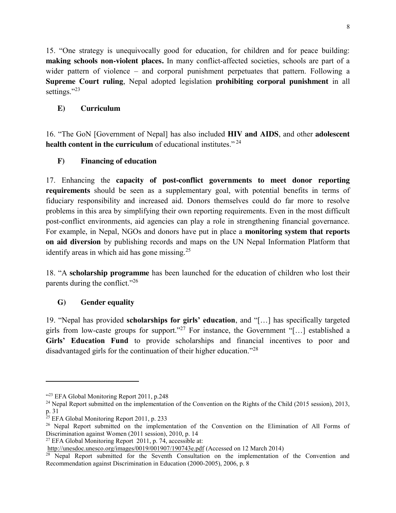15. "One strategy is unequivocally good for education, for children and for peace building: **making schools non-violent places.** In many conflict-affected societies, schools are part of a wider pattern of violence – and corporal punishment perpetuates that pattern. Following a **Supreme Court ruling**, Nepal adopted legislation **prohibiting corporal punishment** in all settings."<sup>23</sup>

## **E) Curriculum**

16. "The GoN [Government of Nepal] has also included **HIV and AIDS**, and other **adolescent health content in the curriculum** of educational institutes."<sup>24</sup>

### **F) Financing of education**

17. Enhancing the **capacity of post-conflict governments to meet donor reporting requirements** should be seen as a supplementary goal, with potential benefits in terms of fiduciary responsibility and increased aid. Donors themselves could do far more to resolve problems in this area by simplifying their own reporting requirements. Even in the most difficult post-conflict environments, aid agencies can play a role in strengthening financial governance. For example, in Nepal, NGOs and donors have put in place a **monitoring system that reports on aid diversion** by publishing records and maps on the UN Nepal Information Platform that identify areas in which aid has gone missing. $25$ 

18. "A **scholarship programme** has been launched for the education of children who lost their parents during the conflict."<sup>26</sup>

# **G) Gender equality**

19. "Nepal has provided **scholarships for girls' education**, and "[…] has specifically targeted girls from low-caste groups for support."<sup>27</sup> For instance, the Government "[...] established a Girls' Education Fund to provide scholarships and financial incentives to poor and disadvantaged girls for the continuation of their higher education."<sup>28</sup>

 $\overline{\phantom{a}}$ 

<sup>27</sup> EFA Global Monitoring Report 2011, p. 74, accessible at:

<sup>&</sup>lt;sup>"23</sup> EFA Global Monitoring Report 2011, p.248

<sup>&</sup>lt;sup>24</sup> Nepal Report submitted on the implementation of the Convention on the Rights of the Child (2015 session), 2013, p. 31

 $25$  EFA Global Monitoring Report 2011, p. 233

<sup>&</sup>lt;sup>26</sup> Nepal Report submitted on the implementation of the Convention on the Elimination of All Forms of Discrimination against Women (2011 session), 2010, p. 14

http://unesdoc.unesco.org/images/0019/001907/190743e.pdf (Accessed on 12 March 2014)

<sup>&</sup>lt;sup>28</sup> Nepal Report submitted for the Seventh Consultation on the implementation of the Convention and Recommendation against Discrimination in Education (2000-2005), 2006, p. 8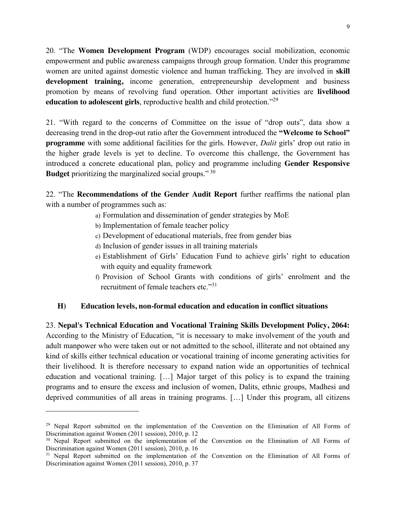20. "The **Women Development Program** (WDP) encourages social mobilization, economic empowerment and public awareness campaigns through group formation. Under this programme women are united against domestic violence and human trafficking. They are involved in **skill development training,** income generation, entrepreneurship development and business promotion by means of revolving fund operation. Other important activities are **livelihood education to adolescent girls**, reproductive health and child protection."<sup>29</sup>

21. "With regard to the concerns of Committee on the issue of "drop outs", data show a decreasing trend in the drop-out ratio after the Government introduced the **"Welcome to School" programme** with some additional facilities for the girls. However, *Dalit* girls' drop out ratio in the higher grade levels is yet to decline. To overcome this challenge, the Government has introduced a concrete educational plan, policy and programme including **Gender Responsive Budget** prioritizing the marginalized social groups." <sup>30</sup>

22. "The **Recommendations of the Gender Audit Report** further reaffirms the national plan with a number of programmes such as:

- a) Formulation and dissemination of gender strategies by MoE
- b) Implementation of female teacher policy

 $\overline{\phantom{a}}$ 

- c) Development of educational materials, free from gender bias
- d) Inclusion of gender issues in all training materials
- e) Establishment of Girls' Education Fund to achieve girls' right to education with equity and equality framework
- f) Provision of School Grants with conditions of girls' enrolment and the recruitment of female teachers etc."<sup>31</sup>

# **H) Education levels, non-formal education and education in conflict situations**

23. **Nepal's Technical Education and Vocational Training Skills Development Policy, 2064:**  According to the Ministry of Education, "it is necessary to make involvement of the youth and adult manpower who were taken out or not admitted to the school, illiterate and not obtained any kind of skills either technical education or vocational training of income generating activities for their livelihood. It is therefore necessary to expand nation wide an opportunities of technical education and vocational training. […] Major target of this policy is to expand the training programs and to ensure the excess and inclusion of women, Dalits, ethnic groups, Madhesi and deprived communities of all areas in training programs. […] Under this program, all citizens

<sup>&</sup>lt;sup>29</sup> Nepal Report submitted on the implementation of the Convention on the Elimination of All Forms of Discrimination against Women (2011 session), 2010, p. 12

<sup>&</sup>lt;sup>30</sup> Nepal Report submitted on the implementation of the Convention on the Elimination of All Forms of Discrimination against Women (2011 session), 2010, p. 16

<sup>&</sup>lt;sup>31</sup> Nepal Report submitted on the implementation of the Convention on the Elimination of All Forms of Discrimination against Women (2011 session), 2010, p. 37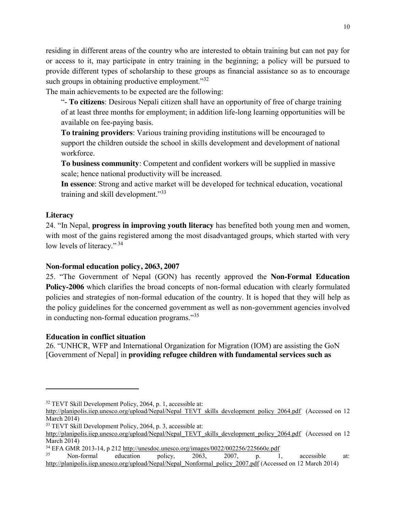residing in different areas of the country who are interested to obtain training but can not pay for or access to it, may participate in entry training in the beginning; a policy will be pursued to provide different types of scholarship to these groups as financial assistance so as to encourage such groups in obtaining productive employment."<sup>32</sup>

The main achievements to be expected are the following:

"- **To citizens**: Desirous Nepali citizen shall have an opportunity of free of charge training of at least three months for employment; in addition life-long learning opportunities will be available on fee-paying basis.

**To training providers**: Various training providing institutions will be encouraged to support the children outside the school in skills development and development of national workforce.

**To business community**: Competent and confident workers will be supplied in massive scale; hence national productivity will be increased.

**In essence**: Strong and active market will be developed for technical education, vocational training and skill development."<sup>33</sup>

### **Literacy**

 $\overline{\phantom{a}}$ 

24. "In Nepal, **progress in improving youth literacy** has benefited both young men and women, with most of the gains registered among the most disadvantaged groups, which started with very low levels of literacy."<sup>34</sup>

# **Non-formal education policy, 2063, 2007**

25. "The Government of Nepal (GON) has recently approved the **Non-Formal Education Policy-2006** which clarifies the broad concepts of non-formal education with clearly formulated policies and strategies of non-formal education of the country. It is hoped that they will help as the policy guidelines for the concerned government as well as non-government agencies involved in conducting non-formal education programs."<sup>35</sup>

# **Education in conflict situation**

26. "UNHCR, WFP and International Organization for Migration (IOM) are assisting the GoN [Government of Nepal] in **providing refugee children with fundamental services such as** 

<sup>&</sup>lt;sup>32</sup> TEVT Skill Development Policy, 2064, p. 1, accessible at:

http://planipolis.iiep.unesco.org/upload/Nepal/Nepal\_TEVT\_skills\_development\_policy\_2064.pdf (Accessed on 12 March 2014)

<sup>33</sup> TEVT Skill Development Policy, 2064, p. 3, accessible at:

http://planipolis.iiep.unesco.org/upload/Nepal/Nepal\_TEVT\_skills\_development\_policy\_2064.pdf (Accessed on 12 March 2014)

<sup>&</sup>lt;sup>34</sup> EFA GMR 2013-14, p 212 http://unesdoc.unesco.org/images/0022/002256/225660e.pdf<br><sup>35</sup> New formal odvertise policy 20062, 2007

<sup>35</sup> Non-formal education policy, 2063, 2007, p. 1, accessible at: http://planipolis.iiep.unesco.org/upload/Nepal/Nepal\_Nonformal\_policy\_2007.pdf (Accessed on 12 March 2014)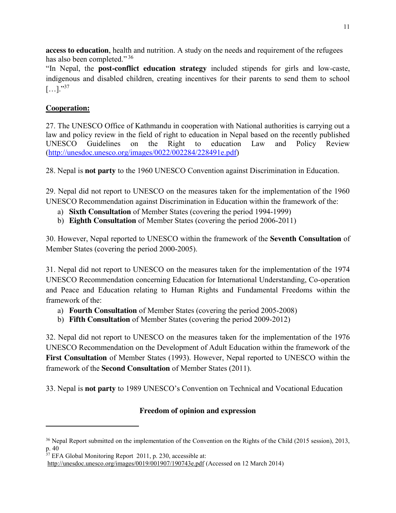**access to education**, health and nutrition. A study on the needs and requirement of the refugees has also been completed." <sup>36</sup>

"In Nepal, the **post-conflict education strategy** included stipends for girls and low-caste, indigenous and disabled children, creating incentives for their parents to send them to school  $[...]$ ."<sup>37</sup>

# **Cooperation:**

27. The UNESCO Office of Kathmandu in cooperation with National authorities is carrying out a law and policy review in the field of right to education in Nepal based on the recently published UNESCO Guidelines on the Right to education Law and Policy Review (http://unesdoc.unesco.org/images/0022/002284/228491e.pdf)

28. Nepal is **not party** to the 1960 UNESCO Convention against Discrimination in Education.

29. Nepal did not report to UNESCO on the measures taken for the implementation of the 1960 UNESCO Recommendation against Discrimination in Education within the framework of the:

- a) **Sixth Consultation** of Member States (covering the period 1994-1999)
- b) **Eighth Consultation** of Member States (covering the period 2006-2011)

30. However, Nepal reported to UNESCO within the framework of the **Seventh Consultation** of Member States (covering the period 2000-2005).

31. Nepal did not report to UNESCO on the measures taken for the implementation of the 1974 UNESCO Recommendation concerning Education for International Understanding, Co-operation and Peace and Education relating to Human Rights and Fundamental Freedoms within the framework of the:

- a) **Fourth Consultation** of Member States (covering the period 2005-2008)
- b) **Fifth Consultation** of Member States (covering the period 2009-2012)

32. Nepal did not report to UNESCO on the measures taken for the implementation of the 1976 UNESCO Recommendation on the Development of Adult Education within the framework of the **First Consultation** of Member States (1993). However, Nepal reported to UNESCO within the framework of the **Second Consultation** of Member States (2011).

33. Nepal is **not party** to 1989 UNESCO's Convention on Technical and Vocational Education

# **Freedom of opinion and expression**

<sup>37</sup> EFA Global Monitoring Report 2011, p. 230, accessible at:

<sup>&</sup>lt;sup>36</sup> Nepal Report submitted on the implementation of the Convention on the Rights of the Child (2015 session), 2013, p. 40

http://unesdoc.unesco.org/images/0019/001907/190743e.pdf (Accessed on 12 March 2014)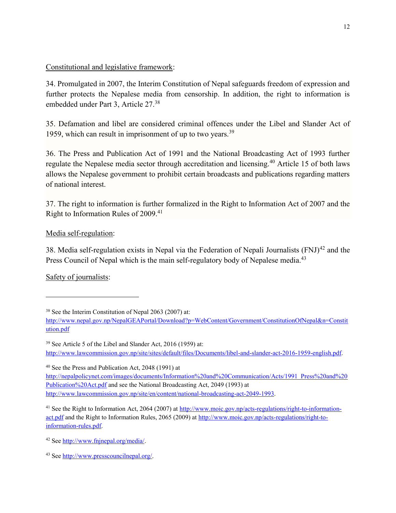Constitutional and legislative framework:

34. Promulgated in 2007, the Interim Constitution of Nepal safeguards freedom of expression and further protects the Nepalese media from censorship. In addition, the right to information is embedded under Part 3, Article 27.<sup>38</sup>

35. Defamation and libel are considered criminal offences under the Libel and Slander Act of 1959, which can result in imprisonment of up to two years.<sup>39</sup>

36. The Press and Publication Act of 1991 and the National Broadcasting Act of 1993 further regulate the Nepalese media sector through accreditation and licensing.<sup>40</sup> Article 15 of both laws allows the Nepalese government to prohibit certain broadcasts and publications regarding matters of national interest.

37. The right to information is further formalized in the Right to Information Act of 2007 and the Right to Information Rules of 2009.<sup>41</sup>

### Media self-regulation:

38. Media self-regulation exists in Nepal via the Federation of Nepali Journalists (FNJ)<sup>42</sup> and the Press Council of Nepal which is the main self-regulatory body of Nepalese media.<sup>43</sup>

Safety of journalists:

 $\overline{\phantom{a}}$ 

<sup>40</sup> See the Press and Publication Act, 2048 (1991) at

http://nepalpolicynet.com/images/documents/Information%20and%20Communication/Acts/1991\_Press%20and%20 Publication%20Act.pdf and see the National Broadcasting Act, 2049 (1993) at http://www.lawcommission.gov.np/site/en/content/national-broadcasting-act-2049-1993.

<sup>&</sup>lt;sup>38</sup> See the Interim Constitution of Nepal 2063 (2007) at:

http://www.nepal.gov.np/NepalGEAPortal/Download?p=WebContent/Government/ConstitutionOfNepal&n=Constit ution.pdf

<sup>39</sup> See Article 5 of the Libel and Slander Act, 2016 (1959) at: http://www.lawcommission.gov.np/site/sites/default/files/Documents/libel-and-slander-act-2016-1959-english.pdf.

<sup>&</sup>lt;sup>41</sup> See the Right to Information Act, 2064 (2007) at http://www.moic.gov.np/acts-regulations/right-to-informationact.pdf and the Right to Information Rules, 2065 (2009) at http://www.moic.gov.np/acts-regulations/right-toinformation-rules.pdf.

<sup>42</sup> See http://www.fnjnepal.org/media/.

<sup>43</sup> See http://www.presscouncilnepal.org/.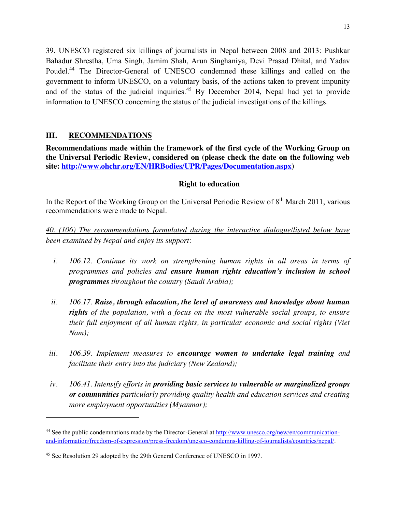39. UNESCO registered six killings of journalists in Nepal between 2008 and 2013: Pushkar Bahadur Shrestha, Uma Singh, Jamim Shah, Arun Singhaniya, Devi Prasad Dhital, and Yadav Poudel.<sup>44</sup> The Director-General of UNESCO condemned these killings and called on the government to inform UNESCO, on a voluntary basis, of the actions taken to prevent impunity and of the status of the judicial inquiries.<sup>45</sup> By December 2014, Nepal had yet to provide information to UNESCO concerning the status of the judicial investigations of the killings.

### **III. RECOMMENDATIONS**

 $\overline{\phantom{a}}$ 

**Recommendations made within the framework of the first cycle of the Working Group on the Universal Periodic Review, considered on (please check the date on the following web site: http://www.ohchr.org/EN/HRBodies/UPR/Pages/Documentation.aspx)** 

#### **Right to education**

In the Report of the Working Group on the Universal Periodic Review of  $8<sup>th</sup>$  March 2011, various recommendations were made to Nepal.

*40. (106) The recommendations formulated during the interactive dialogue/listed below have been examined by Nepal and enjoy its support*:

- *i. 106.12. Continue its work on strengthening human rights in all areas in terms of programmes and policies and ensure human rights education's inclusion in school programmes throughout the country (Saudi Arabia);*
- *ii. 106.17. Raise, through education, the level of awareness and knowledge about human rights of the population, with a focus on the most vulnerable social groups, to ensure their full enjoyment of all human rights, in particular economic and social rights (Viet Nam);*
- *iii. 106.39. Implement measures to encourage women to undertake legal training and facilitate their entry into the judiciary (New Zealand);*
- *iv. 106.41. Intensify efforts in providing basic services to vulnerable or marginalized groups or communities particularly providing quality health and education services and creating more employment opportunities (Myanmar);*

<sup>44</sup> See the public condemnations made by the Director-General at http://www.unesco.org/new/en/communicationand-information/freedom-of-expression/press-freedom/unesco-condemns-killing-of-journalists/countries/nepal/.

<sup>45</sup> See Resolution 29 adopted by the 29th General Conference of UNESCO in 1997.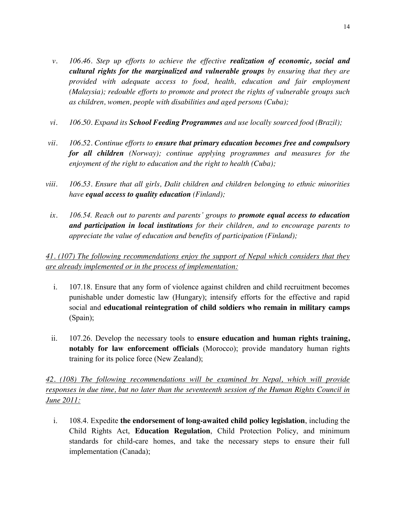- *v. 106.46. Step up efforts to achieve the effective realization of economic, social and cultural rights for the marginalized and vulnerable groups by ensuring that they are provided with adequate access to food, health, education and fair employment (Malaysia); redouble efforts to promote and protect the rights of vulnerable groups such as children, women, people with disabilities and aged persons (Cuba);*
- *vi. 106.50. Expand its School Feeding Programmes and use locally sourced food (Brazil);*
- *vii. 106.52. Continue efforts to ensure that primary education becomes free and compulsory for all children (Norway); continue applying programmes and measures for the enjoyment of the right to education and the right to health (Cuba);*
- *viii. 106.53. Ensure that all girls, Dalit children and children belonging to ethnic minorities have equal access to quality education (Finland);*
- *ix. 106.54. Reach out to parents and parents' groups to promote equal access to education and participation in local institutions for their children, and to encourage parents to appreciate the value of education and benefits of participation (Finland);*

*41. (107) The following recommendations enjoy the support of Nepal which considers that they are already implemented or in the process of implementation:*

- i. 107.18. Ensure that any form of violence against children and child recruitment becomes punishable under domestic law (Hungary); intensify efforts for the effective and rapid social and **educational reintegration of child soldiers who remain in military camps** (Spain);
- ii. 107.26. Develop the necessary tools to **ensure education and human rights training, notably for law enforcement officials** (Morocco); provide mandatory human rights training for its police force (New Zealand);

*42. (108) The following recommendations will be examined by Nepal, which will provide responses in due time, but no later than the seventeenth session of the Human Rights Council in June 2011:*

i. 108.4. Expedite **the endorsement of long-awaited child policy legislation**, including the Child Rights Act, **Education Regulation**, Child Protection Policy, and minimum standards for child-care homes, and take the necessary steps to ensure their full implementation (Canada);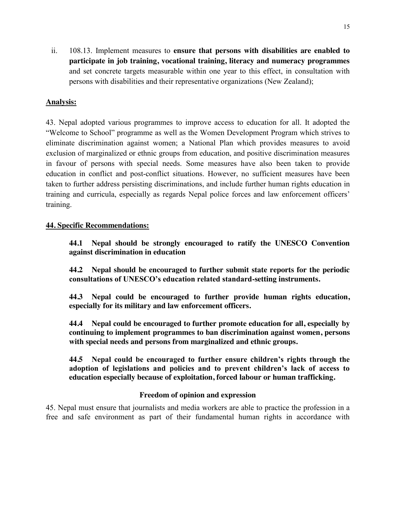ii. 108.13. Implement measures to **ensure that persons with disabilities are enabled to participate in job training, vocational training, literacy and numeracy programmes** and set concrete targets measurable within one year to this effect, in consultation with persons with disabilities and their representative organizations (New Zealand);

### **Analysis:**

43. Nepal adopted various programmes to improve access to education for all. It adopted the "Welcome to School" programme as well as the Women Development Program which strives to eliminate discrimination against women; a National Plan which provides measures to avoid exclusion of marginalized or ethnic groups from education, and positive discrimination measures in favour of persons with special needs. Some measures have also been taken to provide education in conflict and post-conflict situations. However, no sufficient measures have been taken to further address persisting discriminations, and include further human rights education in training and curricula, especially as regards Nepal police forces and law enforcement officers' training.

#### **44. Specific Recommendations:**

**44.1 Nepal should be strongly encouraged to ratify the UNESCO Convention against discrimination in education**

**44.2 Nepal should be encouraged to further submit state reports for the periodic consultations of UNESCO's education related standard-setting instruments.**

**44.3 Nepal could be encouraged to further provide human rights education, especially for its military and law enforcement officers.**

**44.4 Nepal could be encouraged to further promote education for all, especially by continuing to implement programmes to ban discrimination against women, persons with special needs and persons from marginalized and ethnic groups.**

**44.5 Nepal could be encouraged to further ensure children's rights through the adoption of legislations and policies and to prevent children's lack of access to education especially because of exploitation, forced labour or human trafficking.**

#### **Freedom of opinion and expression**

45. Nepal must ensure that journalists and media workers are able to practice the profession in a free and safe environment as part of their fundamental human rights in accordance with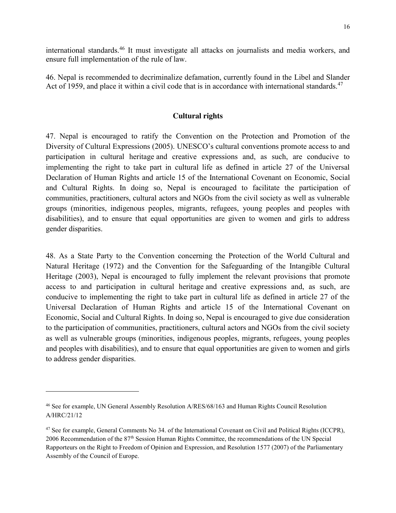international standards.<sup>46</sup> It must investigate all attacks on journalists and media workers, and ensure full implementation of the rule of law.

46. Nepal is recommended to decriminalize defamation, currently found in the Libel and Slander Act of 1959, and place it within a civil code that is in accordance with international standards.<sup>47</sup>

#### **Cultural rights**

47. Nepal is encouraged to ratify the Convention on the Protection and Promotion of the Diversity of Cultural Expressions (2005). UNESCO's cultural conventions promote access to and participation in cultural heritage and creative expressions and, as such, are conducive to implementing the right to take part in cultural life as defined in article 27 of the Universal Declaration of Human Rights and article 15 of the International Covenant on Economic, Social and Cultural Rights. In doing so, Nepal is encouraged to facilitate the participation of communities, practitioners, cultural actors and NGOs from the civil society as well as vulnerable groups (minorities, indigenous peoples, migrants, refugees, young peoples and peoples with disabilities), and to ensure that equal opportunities are given to women and girls to address gender disparities.

48. As a State Party to the Convention concerning the Protection of the World Cultural and Natural Heritage (1972) and the Convention for the Safeguarding of the Intangible Cultural Heritage (2003), Nepal is encouraged to fully implement the relevant provisions that promote access to and participation in cultural heritage and creative expressions and, as such, are conducive to implementing the right to take part in cultural life as defined in article 27 of the Universal Declaration of Human Rights and article 15 of the International Covenant on Economic, Social and Cultural Rights. In doing so, Nepal is encouraged to give due consideration to the participation of communities, practitioners, cultural actors and NGOs from the civil society as well as vulnerable groups (minorities, indigenous peoples, migrants, refugees, young peoples and peoples with disabilities), and to ensure that equal opportunities are given to women and girls to address gender disparities.

<sup>46</sup> See for example, UN General Assembly Resolution A/RES/68/163 and Human Rights Council Resolution A/HRC/21/12

<sup>47</sup> See for example, General Comments No 34. of the International Covenant on Civil and Political Rights (ICCPR), 2006 Recommendation of the 87th Session Human Rights Committee, the recommendations of the UN Special Rapporteurs on the Right to Freedom of Opinion and Expression, and Resolution 1577 (2007) of the Parliamentary Assembly of the Council of Europe.